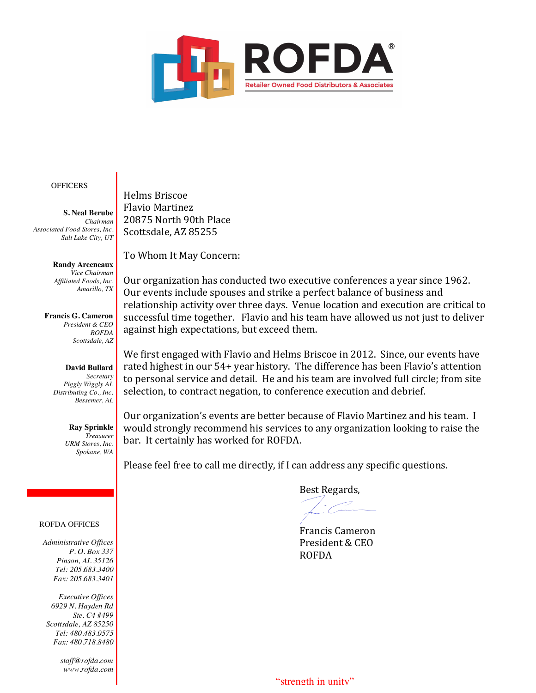

### **OFFICERS**

**S. Neal Berube** *Chairman Associated Food Stores, Inc. Salt Lake City, UT*

> **Randy Arceneaux** *Vice Chairman Affiliated Foods, Inc. Amarillo, TX*

**Francis G. Cameron** *President & CEO ROFDA Scottsdale, AZ*

# **David Bullard** *Secretary*

*Piggly Wiggly AL Distributing Co., Inc. Bessemer, AL*

> **Ray Sprinkle** *Treasurer URM Stores, Inc. Spokane, WA*

# ROFDA OFFICES

*Administrative Offices P. O. Box 337 Pinson, AL 35126 Tel: 205.683.3400 Fax: 205.683.3401*

*Executive Offices 6929 N. Hayden Rd Ste. C4 #499 Scottsdale, AZ 85250 Tel: 480.483.0575 Fax: 480.718.8480*

> *staff@rofda.com www.rofda.com*

Helms Briscoe Flavio Martinez 20875 North 90th Place Scottsdale, AZ 85255

To Whom It May Concern:

Our organization has conducted two executive conferences a year since 1962. Our events include spouses and strike a perfect balance of business and relationship activity over three days. Venue location and execution are critical to successful time together. Flavio and his team have allowed us not just to deliver against high expectations, but exceed them.

We first engaged with Flavio and Helms Briscoe in 2012. Since, our events have rated highest in our 54+ year history. The difference has been Flavio's attention to personal service and detail. He and his team are involved full circle; from site selection, to contract negation, to conference execution and debrief.

Our organization's events are better because of Flavio Martinez and his team. I would strongly recommend his services to any organization looking to raise the bar. It certainly has worked for ROFDA.

Please feel free to call me directly, if I can address any specific questions.

Best Regards,

Francis Cameron President & CEO ROFDA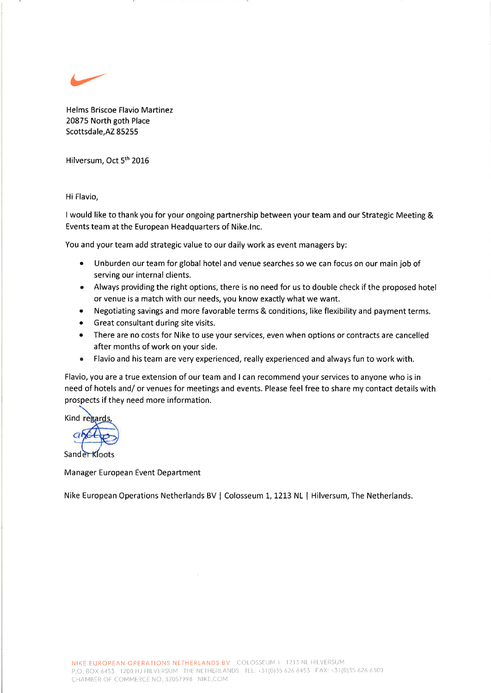$\leftarrow$ 

Helms Briscoe Flavio Martinez 20875 North goth Place Scottsdale,AZ 85255

Hilversum, Oct 5<sup>th</sup> 2016

Hi Flavio,

I would like to thank you for your ongoing partnership between your team and our Strategic Meeting & Events team at the European Headquarters of Nike.lnc.

You and your team add strategic value to our daily work as event managers by:

- e Unburden our team for global hotel and venue searches so we can focus on our main job of serving our internal clients.
- o Always providing the right options, there is no need for us to double check if the proposed hotel or venue is a match with our needs, you know exactly what we want.
- Negotiating savings and more favorable terms & conditions, like flexibility and payment terms.
- Great consultant during site visits.
- There are no costs for Nike to use your services, even when options or contracts are cancelled after months of work on your side.
- o Flavio and his team are very experienced, really experienced and always fun to work with.

Flavio, you are a true extension of our team and I can recommend your services to anyone who is in need of hotels and/ or venues for meetings and events. Please feel free to share my contact details with prospects if they need more information.

**Kind regards** 

Sander Kloots

Manager European Event Department

Nike European Operations Netherlands BV | Colosseum 1, 1213 NL | Hilversum, The Netherlands.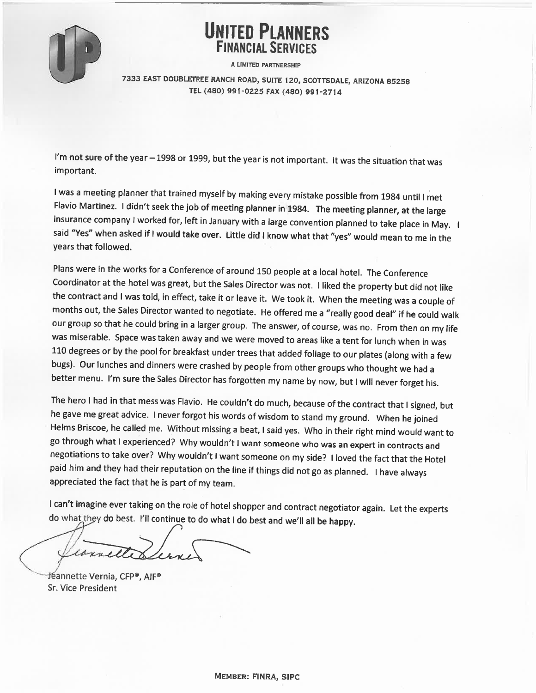

# **UNITED PLANNERS**

A LIMITED PARTNERSHIP

7333 EAST DOUBLETREE RANCH ROAD, SUITE 120, SCOTTSDALE, ARIZONA 85258 TEL (480) 991-0225 FAX (480) 991-2714

I'm not sure of the year - 1998 or 1999, but the year is not important. It was the situation that was important.

I was a meeting planner that trained myself by making every mistake possible from 1984 until I met Flavio Martinez. I didn't seek the job of meeting planner in 1984. The meeting planner, at the large insurance company I worked for, left in January with a large convention planned to take place in May. I said "Yes" when asked if I would take over. Little did I know what that "yes" would mean to me in the years that followed.

Plans were in the works for a Conference of around 150 people at a local hotel. The Conference Coordinator at the hotel was great, but the Sales Director was not. I liked the property but did not like the contract and I was told, in effect, take it or leave it. We took it. When the meeting was a couple of months out, the Sales Director wanted to negotiate. He offered me a "really good deal" if he could walk our group so that he could bring in a larger group. The answer, of course, was no. From then on my life was miserable. Space was taken away and we were moved to areas like a tent for lunch when in was 110 degrees or by the pool for breakfast under trees that added foliage to our plates (along with a few bugs). Our lunches and dinners were crashed by people from other groups who thought we had a better menu. I'm sure the Sales Director has forgotten my name by now, but I will never forget his.

The hero I had in that mess was Flavio. He couldn't do much, because of the contract that I signed, but he gave me great advice. I never forgot his words of wisdom to stand my ground. When he joined Helms Briscoe, he called me. Without missing a beat, I said yes. Who in their right mind would want to go through what I experienced? Why wouldn't I want someone who was an expert in contracts and negotiations to take over? Why wouldn't I want someone on my side? I loved the fact that the Hotel paid him and they had their reputation on the line if things did not go as planned. I have always appreciated the fact that he is part of my team.

I can't imagine ever taking on the role of hotel shopper and contract negotiator again. Let the experts do what they do best. I'll continue to do what I do best and we'll all be happy.

1 an

Jéannette Vernia, CFP®, AIF® **Sr. Vice President**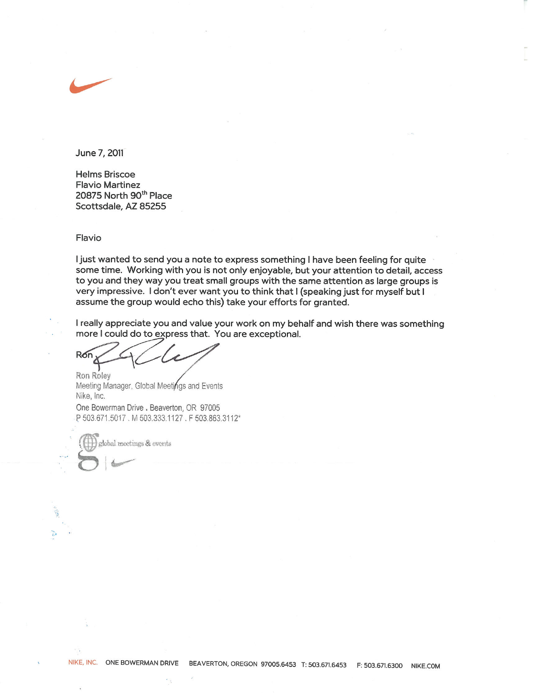

June 7, 2011

**Helms Briscoe Flavio Martinez** 20875 North 90<sup>th</sup> Place Scottsdale, AZ 85255

#### Flavio

I just wanted to send you a note to express something I have been feeling for quite some time. Working with you is not only enjoyable, but your attention to detail, access to you and they way you treat small groups with the same attention as large groups is very impressive. I don't ever want you to think that I (speaking just for myself but I assume the group would echo this) take your efforts for granted.

I really appreciate you and value your work on my behalf and wish there was something more I could do to express that. You are exceptional.

Ron

Ron Roley Meeting Manager, Global Meetings and Events Nike, Inc. One Bowerman Drive . Beaverton, OR 97005 P 503.671.5017, M 503.333.1127, F 503.863.3112\*

global meetings & events